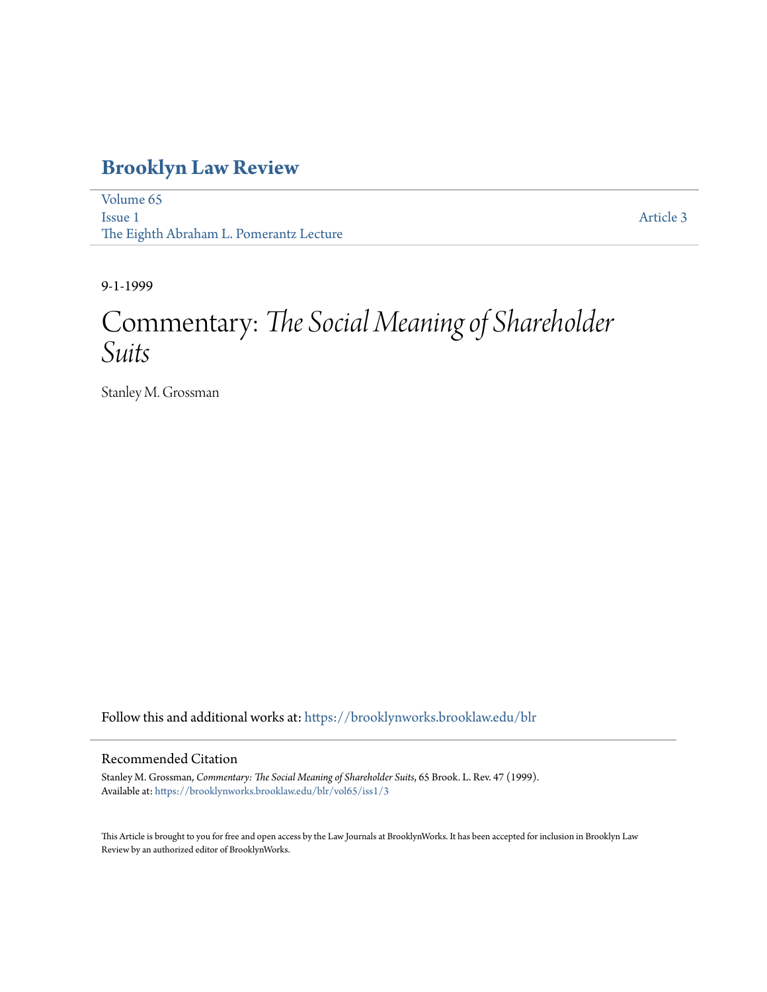## **[Brooklyn Law Review](https://brooklynworks.brooklaw.edu/blr?utm_source=brooklynworks.brooklaw.edu%2Fblr%2Fvol65%2Fiss1%2F3&utm_medium=PDF&utm_campaign=PDFCoverPages)**

[Volume 65](https://brooklynworks.brooklaw.edu/blr/vol65?utm_source=brooklynworks.brooklaw.edu%2Fblr%2Fvol65%2Fiss1%2F3&utm_medium=PDF&utm_campaign=PDFCoverPages) [Issue 1](https://brooklynworks.brooklaw.edu/blr/vol65/iss1?utm_source=brooklynworks.brooklaw.edu%2Fblr%2Fvol65%2Fiss1%2F3&utm_medium=PDF&utm_campaign=PDFCoverPages) The Eighth Abraham L. Pomerantz Lecture

[Article 3](https://brooklynworks.brooklaw.edu/blr/vol65/iss1/3?utm_source=brooklynworks.brooklaw.edu%2Fblr%2Fvol65%2Fiss1%2F3&utm_medium=PDF&utm_campaign=PDFCoverPages)

9-1-1999

# Commentary: *The Social Meaning of Shareholder Suits*

Stanley M. Grossman

Follow this and additional works at: [https://brooklynworks.brooklaw.edu/blr](https://brooklynworks.brooklaw.edu/blr?utm_source=brooklynworks.brooklaw.edu%2Fblr%2Fvol65%2Fiss1%2F3&utm_medium=PDF&utm_campaign=PDFCoverPages)

#### Recommended Citation

Stanley M. Grossman, *Commentary: The Social Meaning of Shareholder Suits*, 65 Brook. L. Rev. 47 (1999). Available at: [https://brooklynworks.brooklaw.edu/blr/vol65/iss1/3](https://brooklynworks.brooklaw.edu/blr/vol65/iss1/3?utm_source=brooklynworks.brooklaw.edu%2Fblr%2Fvol65%2Fiss1%2F3&utm_medium=PDF&utm_campaign=PDFCoverPages)

This Article is brought to you for free and open access by the Law Journals at BrooklynWorks. It has been accepted for inclusion in Brooklyn Law Review by an authorized editor of BrooklynWorks.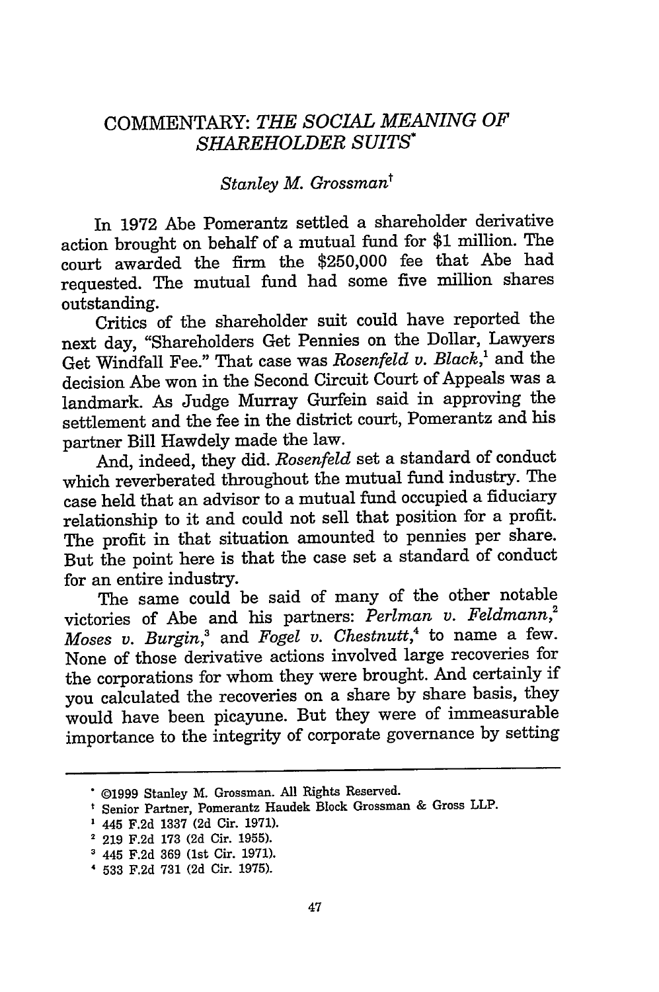### COMMENTARY: *THE SOCIAL MEANING OF SHAREHOLDER SUITS\**

#### *Stanley M. Grossmant*

In 1972 Abe Pomerantz settled a shareholder derivative action brought on behalf of a mutual fund for **\$1** million. The court awarded the firm the \$250,000 fee that Abe had requested. The mutual fund had some five million shares outstanding.

Critics of the shareholder suit could have reported the next day, "Shareholders Get Pennies on the Dollar, Lawyers Get Windfall Fee." That case was *Rosenfeld v. Black,'* and the decision Abe won in the Second Circuit Court of Appeals was a landmark. As Judge Murray Gurfein said in approving the settlement and the fee in the district court, Pomerantz and his partner Bill Hawdely made the law.

And, indeed, they did. *Rosenfeld* set a standard of conduct which reverberated throughout the mutual fund industry. The case held that an advisor to a mutual fund occupied a fiduciary relationship to it and could not sell that position for a profit. The profit in that situation amounted to pennies per share. But the point here is that the case set a standard of conduct for an entire industry.

The same could be said of many of the other notable victories of Abe and his partners: *Perlman v. Feldmann,2 Moses v. Burgin,'* and *Fogel v. Chestnutt,4* to name a few. None of those derivative actions involved large recoveries for the corporations for whom they were brought. And certainly if you calculated the recoveries on a share by share basis, they would have been picayune. But they were of immeasurable importance to the integrity of corporate governance by setting

<sup>©1999</sup> Stanley M. Grossman. All Rights Reserved.

Senior Partner, Pomerantz Haudek Block Grossman & Gross LLP.

<sup>445</sup> F.2d 1337 (2d Cir. 1971).

<sup>2</sup>219 F.2d 173 (2d Cir. 1955).

**<sup>&#</sup>x27;** 445 F.2d 369 (1st Cir. 1971).

<sup>4 533</sup> F.2d 731 (2d Cir. 1975).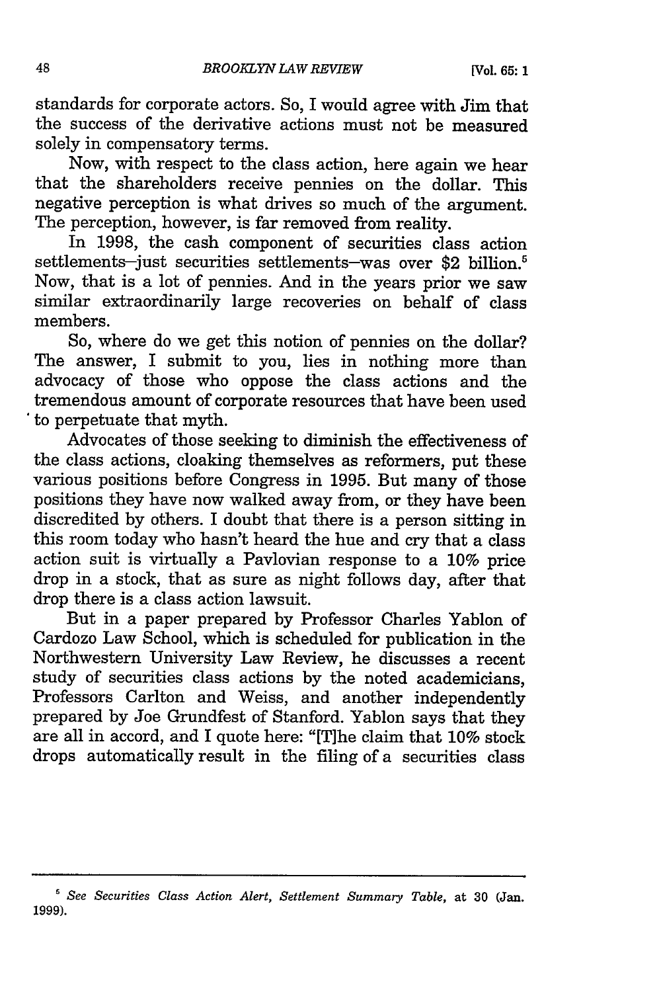standards for corporate actors. So, I would agree with Jim that the success of the derivative actions must not be measured solely in compensatory terms.

Now, with respect to the class action, here again we hear that the shareholders receive pennies on the dollar. This negative perception is what drives so much of the argument. The perception, however, is far removed from reality.

In 1998, the cash component of securities class action settlements-just securities settlements-was over \$2 billion.<sup>5</sup> Now, that is a lot of pennies. And in the years prior we saw similar extraordinarily large recoveries on behalf of class members.

So, where do we get this notion of pennies on the dollar? The answer, I submit to you, lies in nothing more than advocacy of those who oppose the class actions and the tremendous amount of corporate resources that have been used to perpetuate that myth.

Advocates of those seeking to diminish the effectiveness of the class actions, cloaking themselves as reformers, put these various positions before Congress in 1995. But many of those positions they have now walked away from, or they have been discredited by others. I doubt that there is a person sitting in this room today who hasn't heard the hue and cry that a class action suit is virtually a Pavlovian response to a 10% price drop in a stock, that as sure as night follows day, after that drop there is a class action lawsuit.

But in a paper prepared by Professor Charles Yablon of Cardozo Law School, which is scheduled for publication in the Northwestern University Law Review, he discusses a recent study of securities class actions by the noted academicians, Professors Carlton and Weiss, and another independently prepared by Joe Grundfest of Stanford. Yablon says that they are all in accord, and I quote here: "[The claim that 10% stock drops automatically result in the filing of a securities class

*<sup>&#</sup>x27; See Securities Class Action Alert, Settlement Summary Table,* at 30 (Jan. 1999).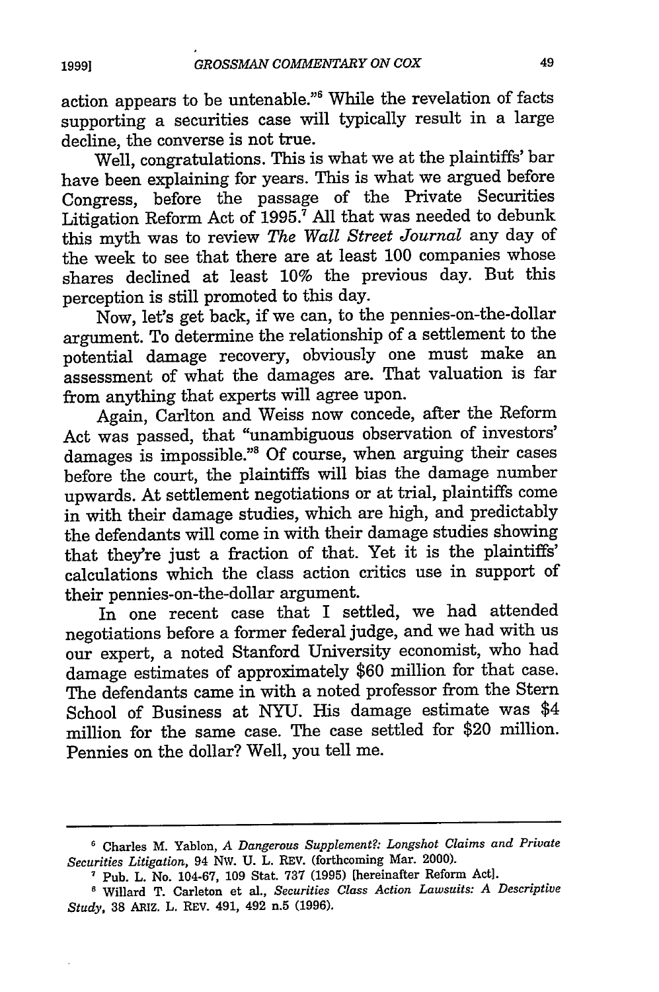action appears to be untenable."6 While the revelation of facts supporting a securities case will typically result in a large decline, the converse is not true.

Well, congratulations. This is what we at the plaintiffs' bar have been explaining for years. This is what we argued before Congress, before the passage of the Private Securities Litigation Reform Act of  $1995.7$  All that was needed to debunk this myth was to review *The Wall Street Journal* any day of the week to see that there are at least 100 companies whose shares declined at least 10% the previous day. But this perception is still promoted to this day.

Now, let's get back, if we can, to the pennies-on-the-dollar argument. To determine the relationship of a settlement to the potential damage recovery, obviously one must make an assessment of what the damages are. That valuation is far from anything that experts will agree upon.

Again, Carlton and Weiss now concede, after the Reform Act was passed, that "unambiguous observation of investors' damages is impossible."<sup>8</sup> Of course, when arguing their cases before the court, the plaintiffs will bias the damage number upwards. At settlement negotiations or at trial, plaintiffs come in with their damage studies, which are high, and predictably the defendants will come in with their damage studies showing that they're just a fraction of that. Yet it is the plaintiffs' calculations which the class action critics use in support of their pennies-on-the-dollar argument.

In one recent case that I settled, we had attended negotiations before a former federal judge, and we had with us our expert, a noted Stanford University economist, who had damage estimates of approximately \$60 million for that case. The defendants came in with a noted professor from the Stern School of Business at NYU. His damage estimate was \$4 million for the same case. The case settled for \$20 million. Pennies on the dollar? Well, you tell me.

49

**<sup>&#</sup>x27;** Charles M. Yablon, *A Dangerous Supplement?: Longshot Claims and Private Securities Litigation,* 94 NW. U. L. REV. (forthcoming Mar. 2000).

**<sup>7</sup>**Pub. L. No. 104-67, 109 Stat. 737 (1995) [hereinafter Reform Act].

**<sup>&#</sup>x27;** Willard T. Carleton et al., *Securities Class Action Lawsuits: A Descriptive Study,* 38 ARIZ. L. REV. 491, 492 n.5 (1996).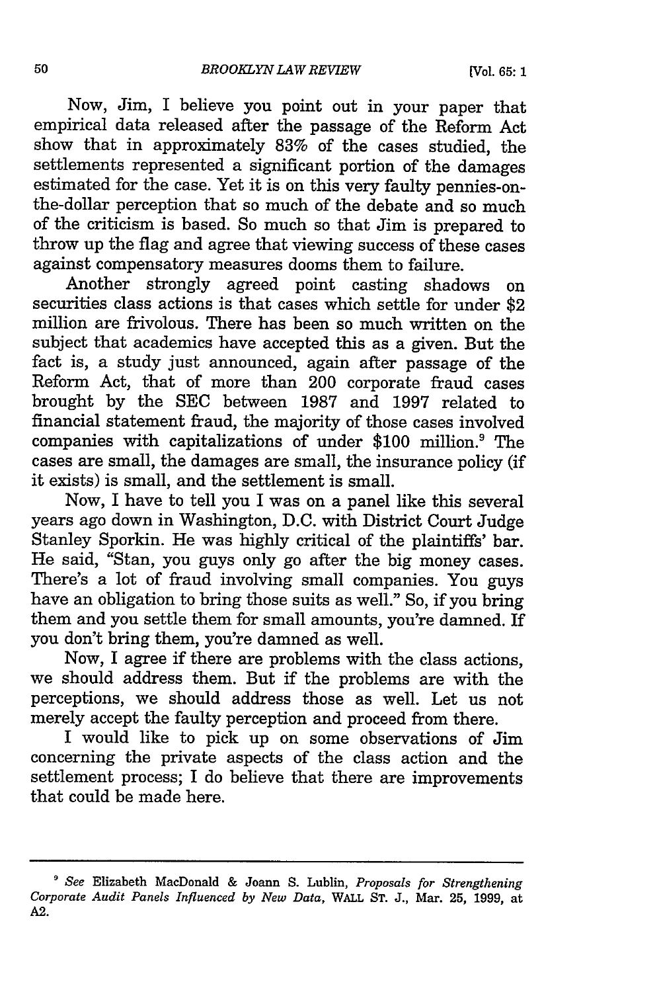Now, Jim, I believe you point out in your paper that empirical data released after the passage of the Reform Act show that in approximately 83% of the cases studied, the settlements represented a significant portion of the damages estimated for the case. Yet it is on this very faulty pennies-onthe-dollar perception that so much of the debate and so much of the criticism is based. So much so that Jim is prepared to throw up the flag and agree that viewing success of these cases against compensatory measures dooms them to failure.

Another strongly agreed point casting shadows on securities class actions is that cases which settle for under \$2 million are frivolous. There has been so much written on the subject that academics have accepted this as a given. But the fact is, a study just announced, again after passage of the Reform Act, that of more than 200 corporate fraud cases brought by the SEC between 1987 and 1997 related to financial statement fraud, the majority of those cases involved companies with capitalizations of under \$100 million.<sup>9</sup> The cases are small, the damages are small, the insurance policy (if it exists) is small, and the settlement is small.

Now, I have to tell you I was on a panel like this several years ago down in Washington, D.C. with District Court Judge Stanley Sporkin. He was highly critical of the plaintiffs' bar. He said, "Stan, you guys only go after the big money cases. There's a lot of fraud involving small companies. You guys have an obligation to bring those suits as well." So, if you bring them and you settle them for small amounts, you're damned. If you don't bring them, you're damned as well.

Now, I agree if there are problems with the class actions, we should address them. But if the problems are with the perceptions, we should address those as well. Let us not merely accept the faulty perception and proceed from there.

I would like to pick up on some observations of Jim concerning the private aspects of the class action and the settlement process; I do believe that there are improvements that could be made here.

*<sup>&#</sup>x27; See* Elizabeth MacDonald & Joann S. Lublin, *Proposals for Strengthening Corporate Audit Panels Influenced by New Data,* WALL ST. J., Mar. 25, 1999, at A2.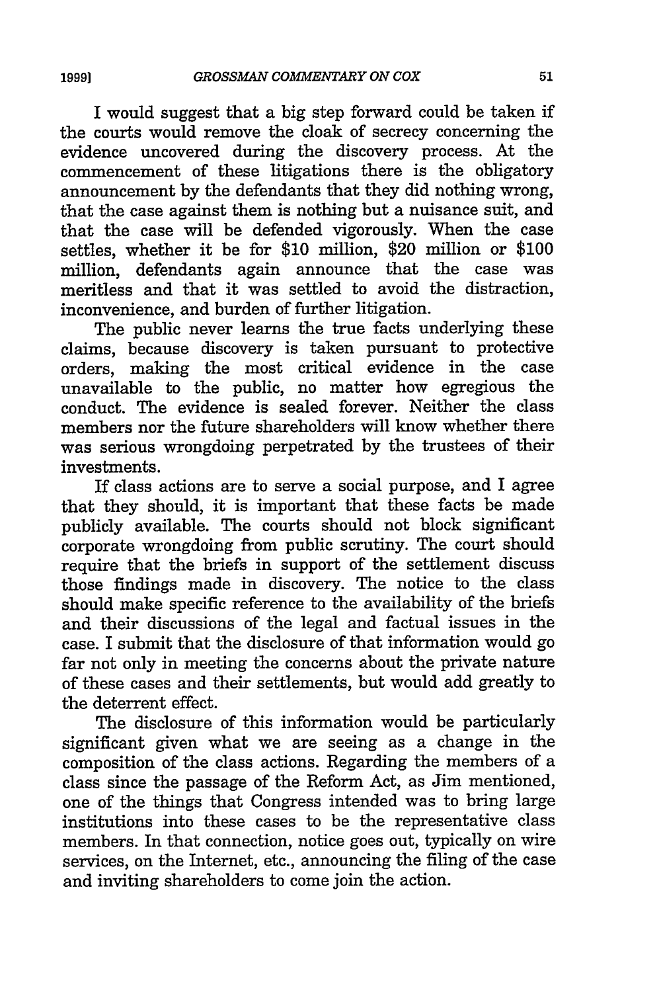I would suggest that a big step forward could be taken if the courts would remove the cloak of secrecy concerning the evidence uncovered during the discovery process. At the commencement of these litigations there is the obligatory announcement by the defendants that they did nothing wrong, that the case against them is nothing but a nuisance suit, and that the case will be defended vigorously. When the case settles, whether it be for \$10 million, \$20 million or \$100 million, defendants again announce that the case was meritless and that it was settled to avoid the distraction, inconvenience, and burden of further litigation.

The public never learns the true facts underlying these claims, because discovery is taken pursuant to protective orders, making the most critical evidence in the case unavailable to the public, no matter how egregious the conduct. The evidence is sealed forever. Neither the class members nor the future shareholders will know whether there was serious wrongdoing perpetrated by the trustees of their investments.

If class actions are to serve a social purpose, and I agree that they should, it is important that these facts be made publicly available. The courts should not block significant corporate wrongdoing from public scrutiny. The court should require that the briefs in support of the settlement discuss those findings made in discovery. The notice to the class should make specific reference to the availability of the briefs and their discussions of the legal and factual issues in the case. I submit that the disclosure of that information would go far not only in meeting the concerns about the private nature of these cases and their settlements, but would add greatly to the deterrent effect.

The disclosure of this information would be particularly significant given what we are seeing as a change in the composition of the class actions. Regarding the members of a class since the passage of the Reform Act, as Jim mentioned, one of the things that Congress intended was to bring large institutions into these cases to be the representative class members. In that connection, notice goes out, typically on wire services, on the Internet, etc., announcing the filing of the case and inviting shareholders to come join the action.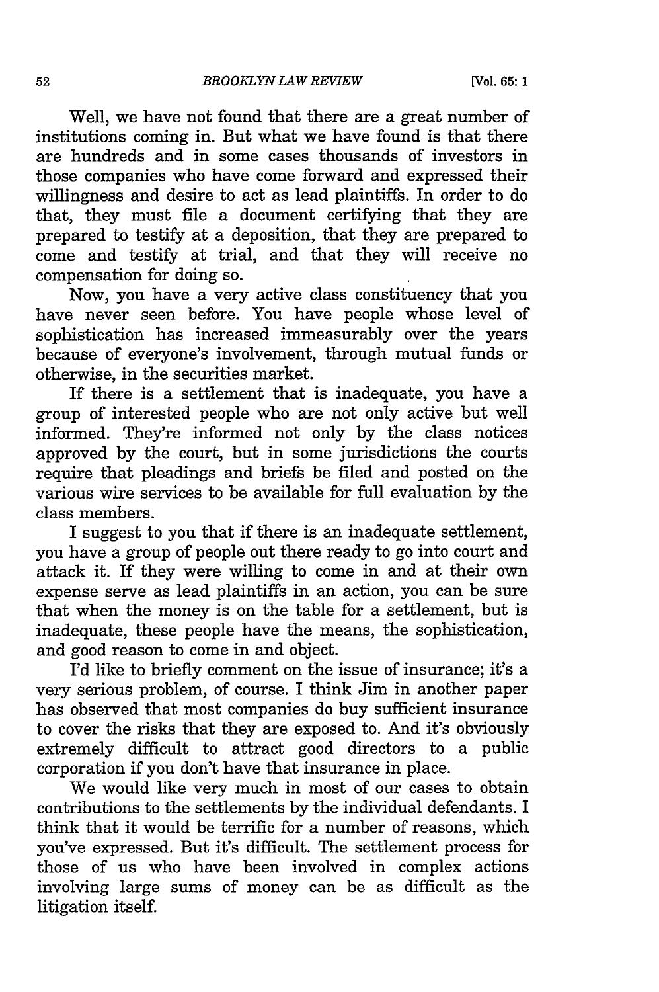Well, we have not found that there are a great number of institutions coming in. But what we have found is that there are hundreds and in some cases thousands of investors in those companies who have come forward and expressed their willingness and desire to act as lead plaintiffs. In order to do that, they must file a document certifying that they are prepared to testify at a deposition, that they are prepared to come and testify at trial, and that they will receive no compensation for doing so.

Now, you have a very active class constituency that you have never seen before. You have people whose level of sophistication has increased immeasurably over the years because of everyone's involvement, through mutual funds or otherwise, in the securities market.

If there is a settlement that is inadequate, you have a group of interested people who are not only active but well informed. They're informed not only by the class notices approved by the court, but in some jurisdictions the courts require that pleadings and briefs be filed and posted on the various wire services to be available for full evaluation by the class members.

I suggest to you that if there is an inadequate settlement, you have a group of people out there ready to go into court and attack it. If they were willing to come in and at their own expense serve as lead plaintiffs in an action, you can be sure that when the money is on the table for a settlement, but is inadequate, these people have the means, the sophistication, and good reason to come in and object.

I'd like to briefly comment on the issue of insurance; it's a very serious problem, of course. I think Jim in another paper has observed that most companies do buy sufficient insurance to cover the risks that they are exposed to. And it's obviously extremely difficult to attract good directors to a public corporation if you don't have that insurance in place.

We would like very much in most of our cases to obtain contributions to the settlements by the individual defendants. I think that it would be terrific for a number of reasons, which you've expressed. But it's difficult. The settlement process for those of us who have been involved in complex actions involving large sums of money can be as difficult as the litigation itself.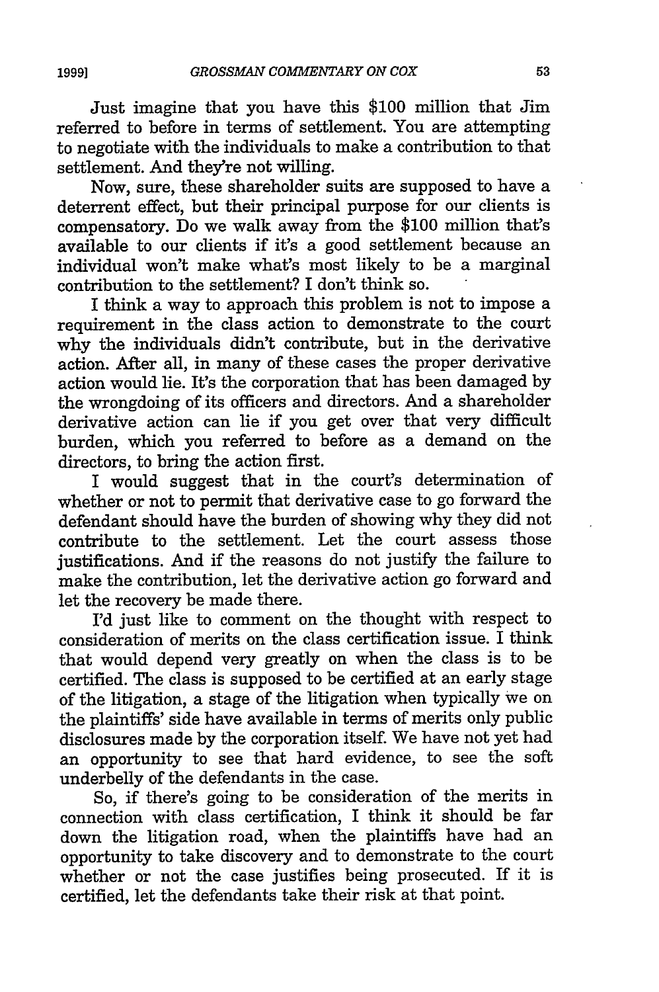Just imagine that you have this \$100 million that Jim referred to before in terms of settlement. You are attempting to negotiate with the individuals to make a contribution to that settlement. And they're not willing.

Now, sure, these shareholder suits are supposed to have a deterrent effect, but their principal purpose for our clients is compensatory. Do we walk away from the \$100 million that's available to our clients if it's a good settlement because an individual won't make what's most likely to be a marginal contribution to the settlement? I don't think so.

I think a way to approach this problem is not to impose a requirement in the class action to demonstrate to the court why the individuals didn't contribute, but in the derivative action. After all, in many of these cases the proper derivative action would lie. It's the corporation that has been damaged by the wrongdoing of its officers and directors. And a shareholder derivative action can lie if you get over that very difficult burden, which you referred to before as a demand on the directors, to bring the action first.

I would suggest that in the court's determination of whether or not to permit that derivative case to go forward the defendant should have the burden of showing why they did not contribute to the settlement. Let the court assess those justifications. And if the reasons do not justify the failure to make the contribution, let the derivative action go forward and let the recovery be made there.

I'd just like to comment on the thought with respect to consideration of merits on the class certification issue. I think that would depend very greatly on when the class is to be certified. The class is supposed to be certified at an early stage of the litigation, a stage of the litigation when typically we on the plaintiffs' side have available in terms of merits only public disclosures made by the corporation itself. We have not yet had an opportunity to see that hard evidence, to see the soft underbelly of the defendants in the case.

So, if there's going to be consideration of the merits in connection with class certification, I think it should be far down the litigation road, when the plaintiffs have had an opportunity to take discovery and to demonstrate to the court whether or not the case justifies being prosecuted. If it is certified, let the defendants take their risk at that point.